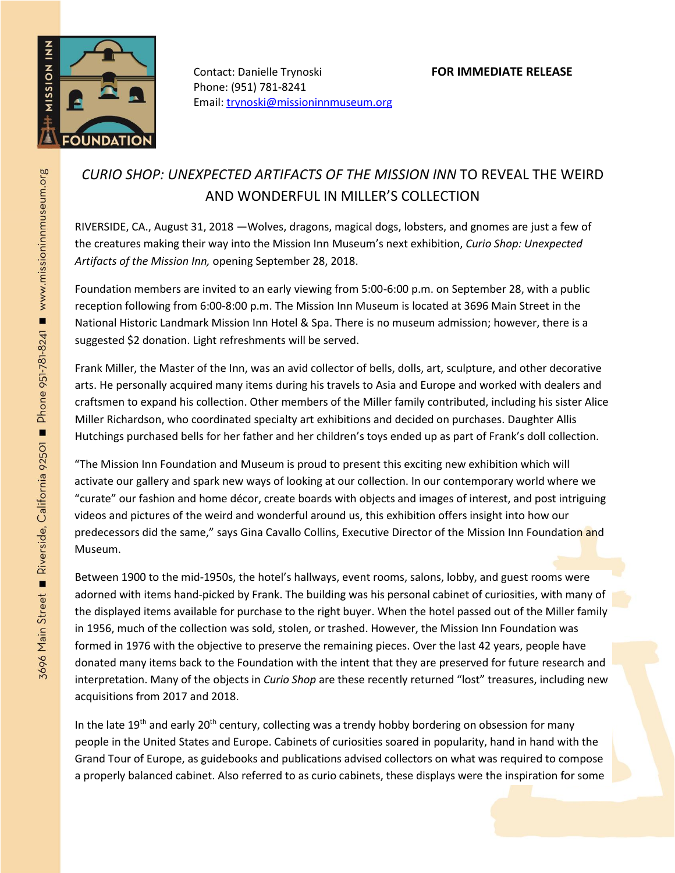

Contact: Danielle Trynoski **FOR IMMEDIATE RELEASE** Phone: (951) 781-8241 Email[: trynoski@missioninnmuseum.org](mailto:trynoski@missioninnmuseum.org)

## *CURIO SHOP: UNEXPECTED ARTIFACTS OF THE MISSION INN* TO REVEAL THE WEIRD AND WONDERFUL IN MILLER'S COLLECTION

RIVERSIDE, CA., August 31, 2018 —Wolves, dragons, magical dogs, lobsters, and gnomes are just a few of the creatures making their way into the Mission Inn Museum's next exhibition, *Curio Shop: Unexpected Artifacts of the Mission Inn,* opening September 28, 2018.

Foundation members are invited to an early viewing from 5:00-6:00 p.m. on September 28, with a public reception following from 6:00-8:00 p.m. The Mission Inn Museum is located at 3696 Main Street in the National Historic Landmark Mission Inn Hotel & Spa. There is no museum admission; however, there is a suggested \$2 donation. Light refreshments will be served.

Frank Miller, the Master of the Inn, was an avid collector of bells, dolls, art, sculpture, and other decorative arts. He personally acquired many items during his travels to Asia and Europe and worked with dealers and craftsmen to expand his collection. Other members of the Miller family contributed, including his sister Alice Miller Richardson, who coordinated specialty art exhibitions and decided on purchases. Daughter Allis Hutchings purchased bells for her father and her children's toys ended up as part of Frank's doll collection.

"The Mission Inn Foundation and Museum is proud to present this exciting new exhibition which will activate our gallery and spark new ways of looking at our collection. In our contemporary world where we "curate" our fashion and home décor, create boards with objects and images of interest, and post intriguing videos and pictures of the weird and wonderful around us, this exhibition offers insight into how our predecessors did the same," says Gina Cavallo Collins, Executive Director of the Mission Inn Foundation and Museum.

Between 1900 to the mid-1950s, the hotel's hallways, event rooms, salons, lobby, and guest rooms were adorned with items hand-picked by Frank. The building was his personal cabinet of curiosities, with many of the displayed items available for purchase to the right buyer. When the hotel passed out of the Miller family in 1956, much of the collection was sold, stolen, or trashed. However, the Mission Inn Foundation was formed in 1976 with the objective to preserve the remaining pieces. Over the last 42 years, people have donated many items back to the Foundation with the intent that they are preserved for future research and interpretation. Many of the objects in *Curio Shop* are these recently returned "lost" treasures, including new acquisitions from 2017 and 2018.

In the late 19<sup>th</sup> and early 20<sup>th</sup> century, collecting was a trendy hobby bordering on obsession for many people in the United States and Europe. Cabinets of curiosities soared in popularity, hand in hand with the Grand Tour of Europe, as guidebooks and publications advised collectors on what was required to compose a properly balanced cabinet. Also referred to as curio cabinets, these displays were the inspiration for some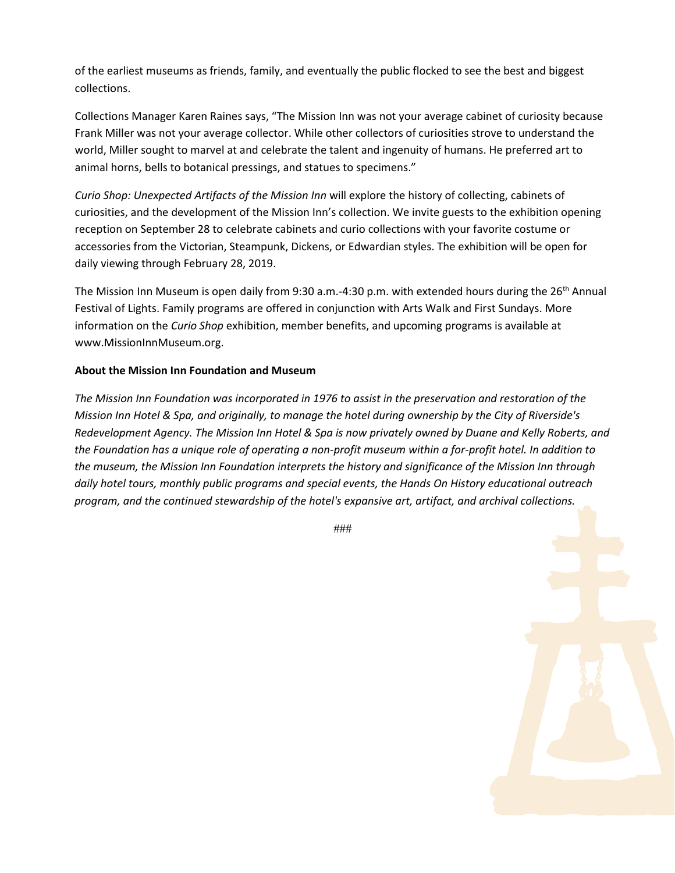of the earliest museums as friends, family, and eventually the public flocked to see the best and biggest collections.

Collections Manager Karen Raines says, "The Mission Inn was not your average cabinet of curiosity because Frank Miller was not your average collector. While other collectors of curiosities strove to understand the world, Miller sought to marvel at and celebrate the talent and ingenuity of humans. He preferred art to animal horns, bells to botanical pressings, and statues to specimens."

*Curio Shop: Unexpected Artifacts of the Mission Inn* will explore the history of collecting, cabinets of curiosities, and the development of the Mission Inn's collection. We invite guests to the exhibition opening reception on September 28 to celebrate cabinets and curio collections with your favorite costume or accessories from the Victorian, Steampunk, Dickens, or Edwardian styles. The exhibition will be open for daily viewing through February 28, 2019.

The Mission Inn Museum is open daily from 9:30 a.m.-4:30 p.m. with extended hours during the 26<sup>th</sup> Annual Festival of Lights. Family programs are offered in conjunction with Arts Walk and First Sundays. More information on the *Curio Shop* exhibition, member benefits, and upcoming programs is available at www.MissionInnMuseum.org.

## **About the Mission Inn Foundation and Museum**

*The Mission Inn Foundation was incorporated in 1976 to assist in the preservation and restoration of the Mission Inn Hotel & Spa, and originally, to manage the hotel during ownership by the City of Riverside's Redevelopment Agency. The Mission Inn Hotel & Spa is now privately owned by Duane and Kelly Roberts, and the Foundation has a unique role of operating a non-profit museum within a for-profit hotel. In addition to the museum, the Mission Inn Foundation interprets the history and significance of the Mission Inn through daily hotel tours, monthly public programs and special events, the Hands On History educational outreach program, and the continued stewardship of the hotel's expansive art, artifact, and archival collections.*

###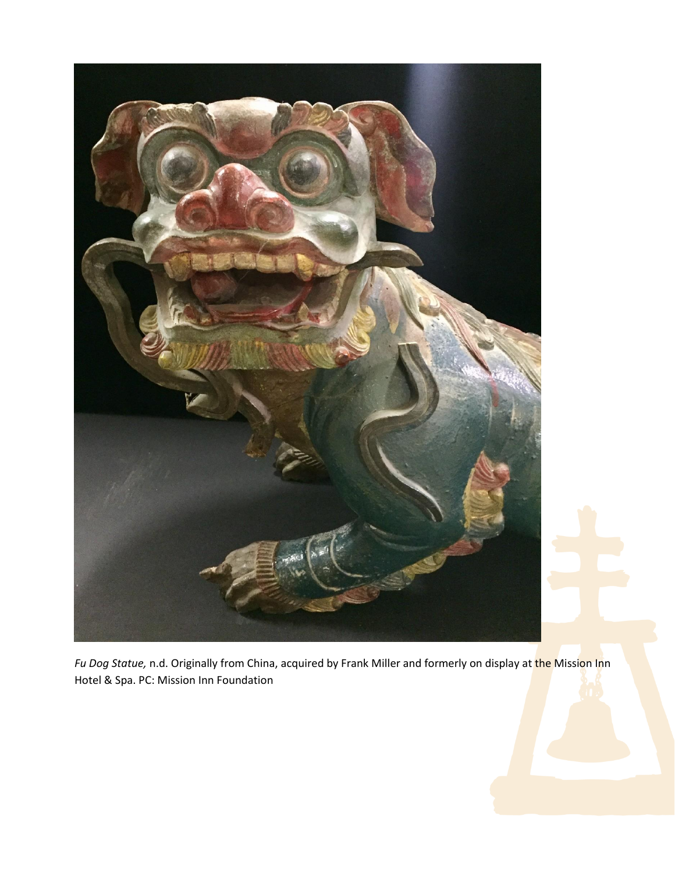

*Fu Dog Statue,* n.d. Originally from China, acquired by Frank Miller and formerly on display at the Mission Inn Hotel & Spa. PC: Mission Inn Foundation